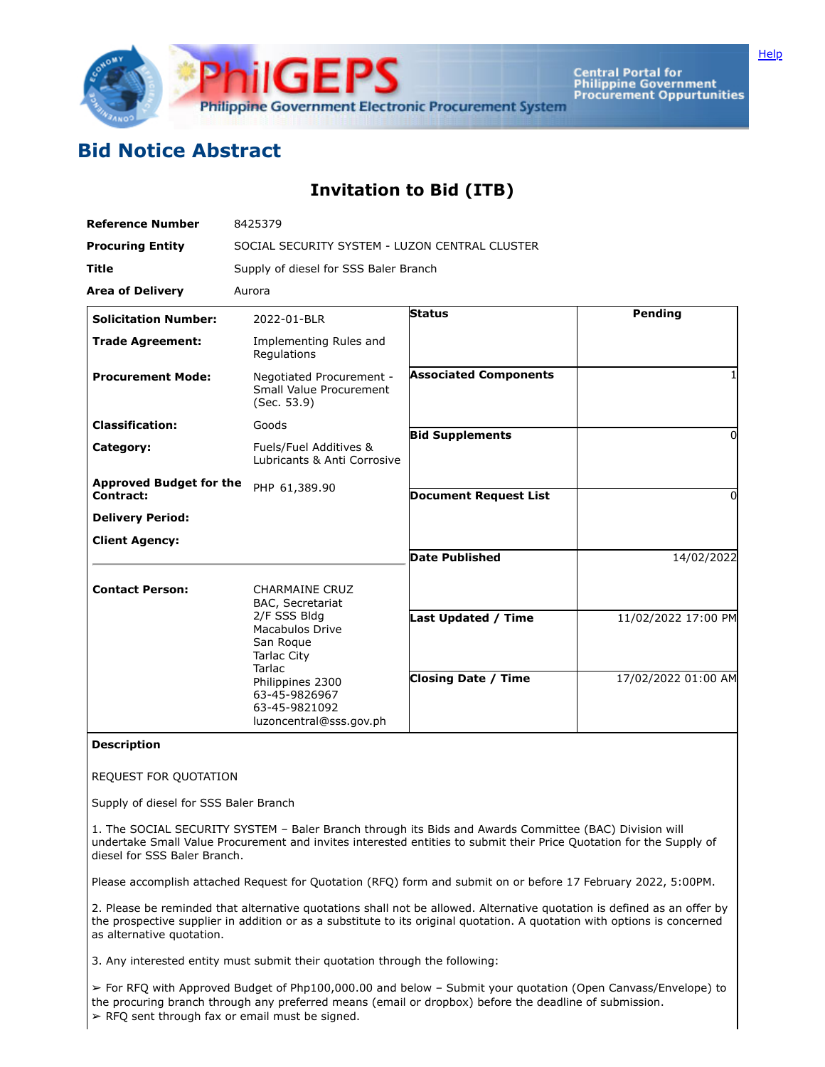

Central Portal for<br>Philippine Government<br>Procurement Oppurtunities

## **Bid Notice Abstract**

## **Invitation to Bid (ITB)**

| <b>Reference Number</b>                     | 8425379                                                                                                                                                       |                              |                     |
|---------------------------------------------|---------------------------------------------------------------------------------------------------------------------------------------------------------------|------------------------------|---------------------|
| <b>Procuring Entity</b>                     | SOCIAL SECURITY SYSTEM - LUZON CENTRAL CLUSTER                                                                                                                |                              |                     |
| <b>Title</b>                                | Supply of diesel for SSS Baler Branch                                                                                                                         |                              |                     |
| <b>Area of Delivery</b>                     | Aurora                                                                                                                                                        |                              |                     |
| <b>Solicitation Number:</b>                 | 2022-01-BLR                                                                                                                                                   | <b>Status</b>                | Pending             |
| <b>Trade Agreement:</b>                     | Implementing Rules and<br>Regulations                                                                                                                         |                              |                     |
| <b>Procurement Mode:</b>                    | Negotiated Procurement -<br>Small Value Procurement<br>(Sec. 53.9)                                                                                            | <b>Associated Components</b> |                     |
| <b>Classification:</b>                      | Goods                                                                                                                                                         | <b>Bid Supplements</b>       | 0                   |
| Category:                                   | Fuels/Fuel Additives &<br>Lubricants & Anti Corrosive                                                                                                         |                              |                     |
| <b>Approved Budget for the</b><br>Contract: | PHP 61,389.90                                                                                                                                                 | <b>Document Request List</b> | 0                   |
| <b>Delivery Period:</b>                     |                                                                                                                                                               |                              |                     |
| <b>Client Agency:</b>                       |                                                                                                                                                               |                              |                     |
|                                             |                                                                                                                                                               | <b>Date Published</b>        | 14/02/2022          |
| <b>Contact Person:</b>                      | <b>CHARMAINE CRUZ</b><br>BAC, Secretariat                                                                                                                     |                              |                     |
|                                             | 2/F SSS Bldg<br>Macabulos Drive<br>San Roque<br><b>Tarlac City</b><br>Tarlac<br>Philippines 2300<br>63-45-9826967<br>63-45-9821092<br>luzoncentral@sss.gov.ph | Last Updated / Time          | 11/02/2022 17:00 PM |
|                                             |                                                                                                                                                               | <b>Closing Date / Time</b>   | 17/02/2022 01:00 AM |

## **Description**

REQUEST FOR QUOTATION

Supply of diesel for SSS Baler Branch

1. The SOCIAL SECURITY SYSTEM – Baler Branch through its Bids and Awards Committee (BAC) Division will undertake Small Value Procurement and invites interested entities to submit their Price Quotation for the Supply of diesel for SSS Baler Branch.

Please accomplish attached Request for Quotation (RFQ) form and submit on or before 17 February 2022, 5:00PM.

2. Please be reminded that alternative quotations shall not be allowed. Alternative quotation is defined as an offer by the prospective supplier in addition or as a substitute to its original quotation. A quotation with options is concerned as alternative quotation.

3. Any interested entity must submit their quotation through the following:

➢ For RFQ with Approved Budget of Php100,000.00 and below – Submit your quotation (Open Canvass/Envelope) to the procuring branch through any preferred means (email or dropbox) before the deadline of submission.  $\triangleright$  RFQ sent through fax or email must be signed.